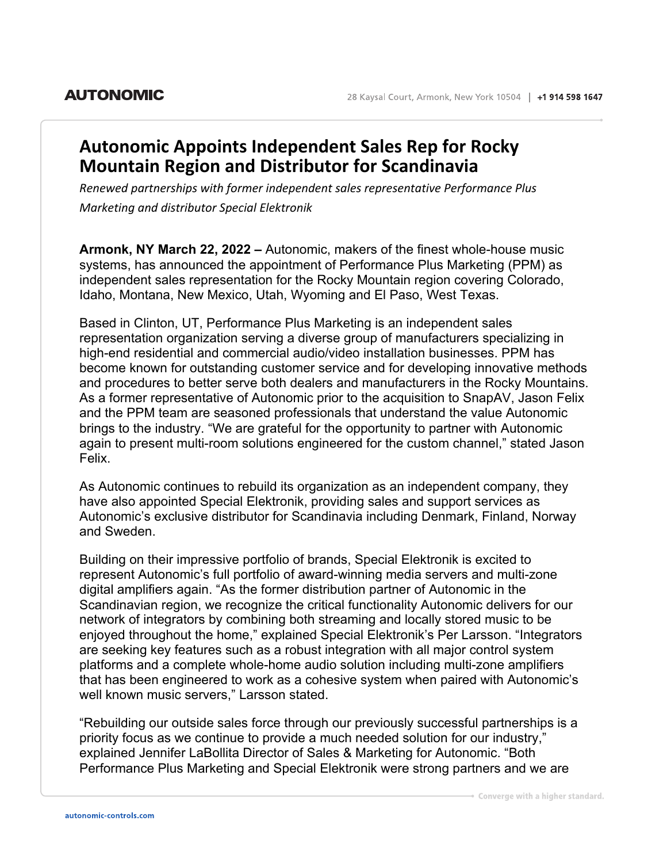## **Autonomic Appoints Independent Sales Rep for Rocky Mountain Region and Distributor for Scandinavia**

*Renewed partnerships with former independent sales representative Performance Plus Marketing and distributor Special Elektronik*

**Armonk, NY March 22, 2022 –** Autonomic, makers of the finest whole-house music systems, has announced the appointment of Performance Plus Marketing (PPM) as independent sales representation for the Rocky Mountain region covering Colorado, Idaho, Montana, New Mexico, Utah, Wyoming and El Paso, West Texas.

Based in Clinton, UT, Performance Plus Marketing is an independent sales representation organization serving a diverse group of manufacturers specializing in high-end residential and commercial audio/video installation businesses. PPM has become known for outstanding customer service and for developing innovative methods and procedures to better serve both dealers and manufacturers in the Rocky Mountains. As a former representative of Autonomic prior to the acquisition to SnapAV, Jason Felix and the PPM team are seasoned professionals that understand the value Autonomic brings to the industry. "We are grateful for the opportunity to partner with Autonomic again to present multi-room solutions engineered for the custom channel," stated Jason Felix.

As Autonomic continues to rebuild its organization as an independent company, they have also appointed Special Elektronik, providing sales and support services as Autonomic's exclusive distributor for Scandinavia including Denmark, Finland, Norway and Sweden.

Building on their impressive portfolio of brands, Special Elektronik is excited to represent Autonomic's full portfolio of award-winning media servers and multi-zone digital amplifiers again. "As the former distribution partner of Autonomic in the Scandinavian region, we recognize the critical functionality Autonomic delivers for our network of integrators by combining both streaming and locally stored music to be enjoyed throughout the home," explained Special Elektronik's Per Larsson. "Integrators are seeking key features such as a robust integration with all major control system platforms and a complete whole-home audio solution including multi-zone amplifiers that has been engineered to work as a cohesive system when paired with Autonomic's well known music servers," Larsson stated.

"Rebuilding our outside sales force through our previously successful partnerships is a priority focus as we continue to provide a much needed solution for our industry," explained Jennifer LaBollita Director of Sales & Marketing for Autonomic. "Both Performance Plus Marketing and Special Elektronik were strong partners and we are